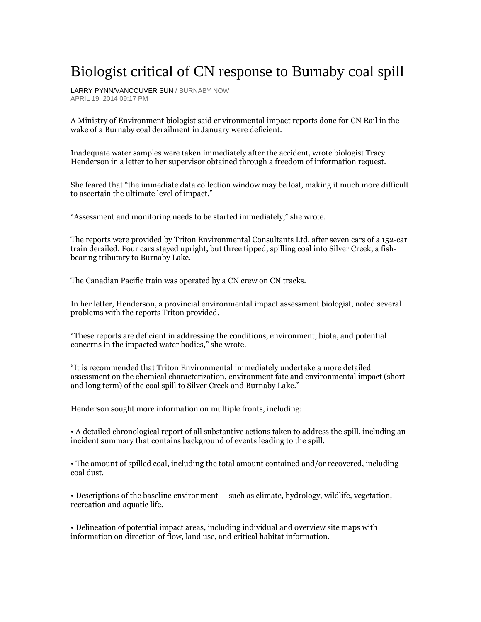## Biologist critical of CN response to Burnaby coal spill

LARRY PYNN/VANCOUVER SUN / BURNABY NOW APRIL 19, 2014 09:17 PM

A Ministry of Environment biologist said environmental impact reports done for CN Rail in the wake of a Burnaby coal derailment in January were deficient.

Inadequate water samples were taken immediately after the accident, wrote biologist Tracy Henderson in a letter to her supervisor obtained through a freedom of information request.

She feared that "the immediate data collection window may be lost, making it much more difficult to ascertain the ultimate level of impact."

"Assessment and monitoring needs to be started immediately," she wrote.

The reports were provided by Triton Environmental Consultants Ltd. after seven cars of a 152-car train derailed. Four cars stayed upright, but three tipped, spilling coal into Silver Creek, a fishbearing tributary to Burnaby Lake.

The Canadian Pacific train was operated by a CN crew on CN tracks.

In her letter, Henderson, a provincial environmental impact assessment biologist, noted several problems with the reports Triton provided.

"These reports are deficient in addressing the conditions, environment, biota, and potential concerns in the impacted water bodies," she wrote.

"It is recommended that Triton Environmental immediately undertake a more detailed assessment on the chemical characterization, environment fate and environmental impact (short and long term) of the coal spill to Silver Creek and Burnaby Lake."

Henderson sought more information on multiple fronts, including:

• A detailed chronological report of all substantive actions taken to address the spill, including an incident summary that contains background of events leading to the spill.

• The amount of spilled coal, including the total amount contained and/or recovered, including coal dust.

• Descriptions of the baseline environment — such as climate, hydrology, wildlife, vegetation, recreation and aquatic life.

• Delineation of potential impact areas, including individual and overview site maps with information on direction of flow, land use, and critical habitat information.